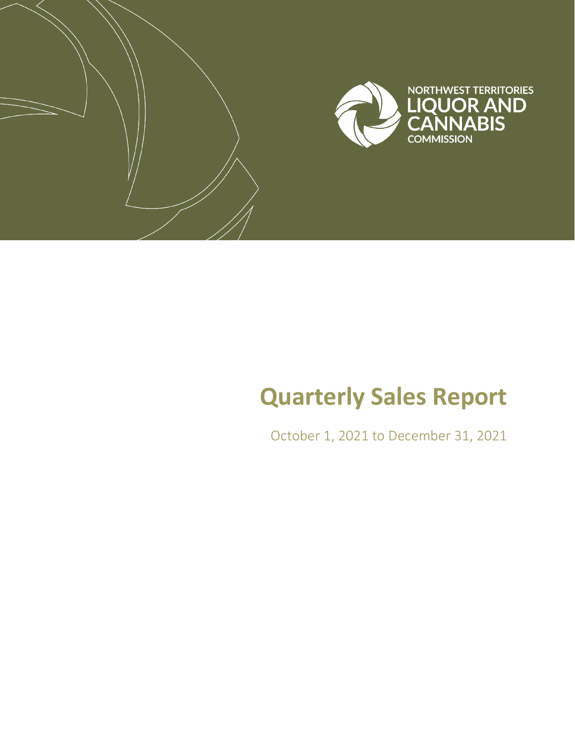

# **Quarterly Sales Report**

October 1, 2021 to December 31, 2021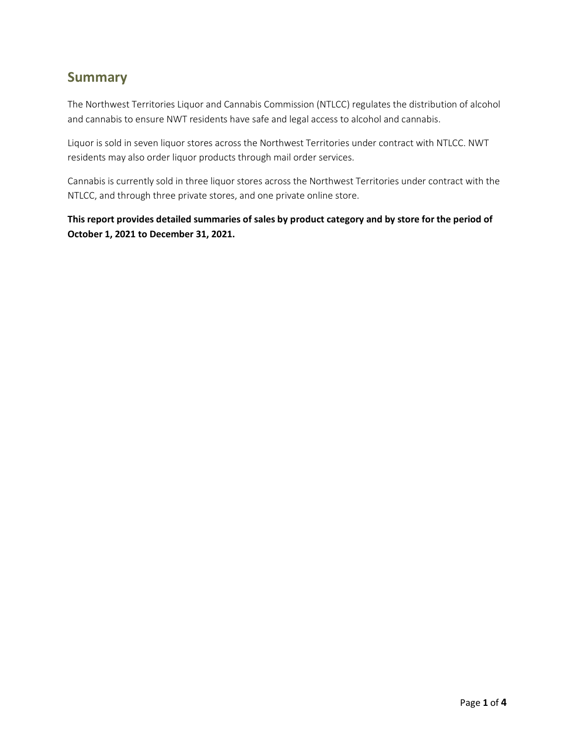#### **Summary**

The Northwest Territories Liquor and Cannabis Commission (NTLCC) regulates the distribution of alcohol and cannabis to ensure NWT residents have safe and legal access to alcohol and cannabis.

Liquor is sold in seven liquor stores across the Northwest Territories under contract with NTLCC. NWT residents may also order liquor products through mail order services.

Cannabis is currently sold in three liquor stores across the Northwest Territories under contract with the NTLCC, and through three private stores, and one private online store.

**This report provides detailed summaries of sales by product category and by store for the period of October 1, 2021 to December 31, 2021.**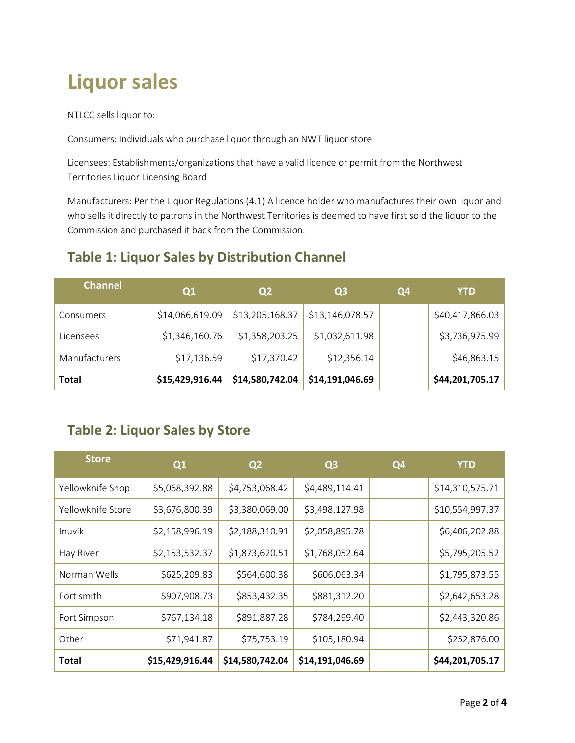# **Liquor sales**

NTLCC sells liquor to:

Consumers: Individuals who purchase liquor through an NWT liquor store

Licensees: Establishments/organizations that have a valid licence or permit from the Northwest Territories Liquor Licensing Board

Manufacturers: Per the Liquor Regulations (4.1) A licence holder who manufactures their own liquor and who sells it directly to patrons in the Northwest Territories is deemed to have first sold the liquor to the Commission and purchased it back from the Commission.

#### **Table 1: Liquor Sales by Distribution Channel**

| <b>Channel</b> | Q1              | Q <sub>2</sub>  | Q3              | Q4 | YTD             |
|----------------|-----------------|-----------------|-----------------|----|-----------------|
| Consumers      | \$14,066,619.09 | \$13,205,168.37 | \$13,146,078.57 |    | \$40,417,866.03 |
| Licensees      | \$1,346,160.76  | \$1,358,203.25  | \$1,032,611.98  |    | \$3,736,975.99  |
| Manufacturers  | \$17,136.59     | \$17,370.42     | \$12,356.14     |    | \$46,863.15     |
| <b>Total</b>   | \$15,429,916.44 | \$14,580,742.04 | \$14,191,046.69 |    | \$44,201,705.17 |

#### **Table 2: Liquor Sales by Store**

| <b>Store</b>      | Q1              | Q <sub>2</sub>  | Q <sub>3</sub>  | Q4 | <b>YTD</b>      |
|-------------------|-----------------|-----------------|-----------------|----|-----------------|
| Yellowknife Shop  | \$5,068,392.88  | \$4,753,068.42  | \$4,489,114.41  |    | \$14,310,575.71 |
| Yellowknife Store | \$3,676,800.39  | \$3,380,069.00  | \$3,498,127.98  |    | \$10,554,997.37 |
| Inuvik            | \$2,158,996.19  | \$2,188,310.91  | \$2,058,895.78  |    | \$6,406,202.88  |
| Hay River         | \$2,153,532.37  | \$1,873,620.51  | \$1,768,052.64  |    | \$5,795,205.52  |
| Norman Wells      | \$625,209.83    | \$564,600.38    | \$606,063.34    |    | \$1,795,873.55  |
| Fort smith        | \$907,908.73    | \$853,432.35    | \$881,312.20    |    | \$2,642,653.28  |
| Fort Simpson      | \$767,134.18    | \$891,887.28    | \$784,299.40    |    | \$2,443,320.86  |
| Other             | \$71,941.87     | \$75,753.19     | \$105,180.94    |    | \$252,876.00    |
| Total             | \$15,429,916.44 | \$14,580,742.04 | \$14,191,046.69 |    | \$44,201,705.17 |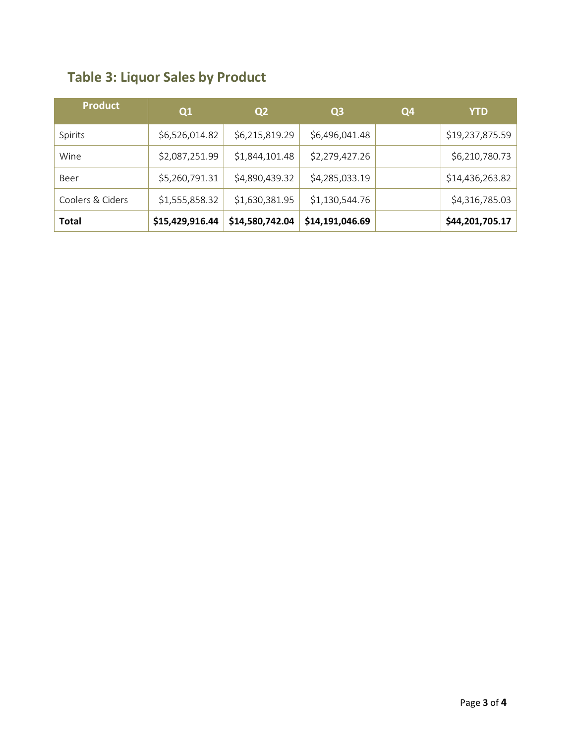|  |  |  | <b>Table 3: Liquor Sales by Product</b> |
|--|--|--|-----------------------------------------|
|--|--|--|-----------------------------------------|

| <b>Product</b>   | Q1              | Q <sub>2</sub>  | Q <sub>3</sub>  | Q4 | <b>YTD</b>      |
|------------------|-----------------|-----------------|-----------------|----|-----------------|
| Spirits          | \$6,526,014.82  | \$6,215,819.29  | \$6,496,041.48  |    | \$19,237,875.59 |
| Wine             | \$2,087,251.99  | \$1,844,101.48  | \$2,279,427.26  |    | \$6,210,780.73  |
| Beer             | \$5,260,791.31  | \$4,890,439.32  | \$4,285,033.19  |    | \$14,436,263.82 |
| Coolers & Ciders | \$1,555,858.32  | \$1,630,381.95  | \$1,130,544.76  |    | \$4,316,785.03  |
| <b>Total</b>     | \$15,429,916.44 | \$14,580,742.04 | \$14,191,046.69 |    | \$44,201,705.17 |